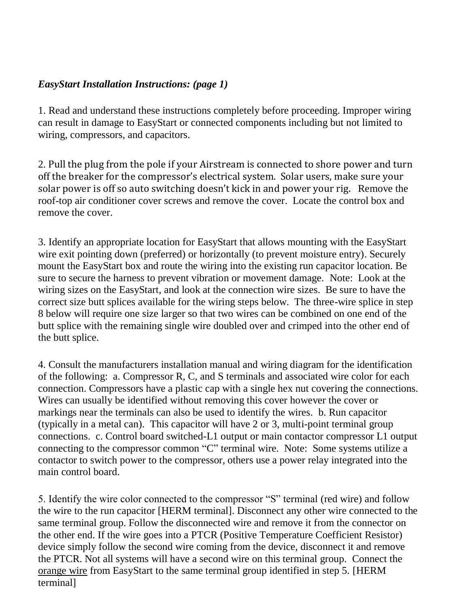## *EasyStart Installation Instructions: (page 1)*

1. Read and understand these instructions completely before proceeding. Improper wiring can result in damage to EasyStart or connected components including but not limited to wiring, compressors, and capacitors.

2. Pull the plug from the pole if your Airstream is connected to shore power and turn off the breaker for the compressor's electrical system. Solar users, make sure your solar power is off so auto switching doesn't kick in and power your rig. Remove the roof-top air conditioner cover screws and remove the cover. Locate the control box and remove the cover.

3. Identify an appropriate location for EasyStart that allows mounting with the EasyStart wire exit pointing down (preferred) or horizontally (to prevent moisture entry). Securely mount the EasyStart box and route the wiring into the existing run capacitor location. Be sure to secure the harness to prevent vibration or movement damage. Note: Look at the wiring sizes on the EasyStart, and look at the connection wire sizes. Be sure to have the correct size butt splices available for the wiring steps below. The three-wire splice in step 8 below will require one size larger so that two wires can be combined on one end of the butt splice with the remaining single wire doubled over and crimped into the other end of the butt splice.

4. Consult the manufacturers installation manual and wiring diagram for the identification of the following: a. Compressor R, C, and S terminals and associated wire color for each connection. Compressors have a plastic cap with a single hex nut covering the connections. Wires can usually be identified without removing this cover however the cover or markings near the terminals can also be used to identify the wires. b. Run capacitor (typically in a metal can). This capacitor will have 2 or 3, multi-point terminal group connections. c. Control board switched-L1 output or main contactor compressor L1 output connecting to the compressor common "C" terminal wire. Note: Some systems utilize a contactor to switch power to the compressor, others use a power relay integrated into the main control board.

5. Identify the wire color connected to the compressor "S" terminal (red wire) and follow the wire to the run capacitor [HERM terminal]. Disconnect any other wire connected to the same terminal group. Follow the disconnected wire and remove it from the connector on the other end. If the wire goes into a PTCR (Positive Temperature Coefficient Resistor) device simply follow the second wire coming from the device, disconnect it and remove the PTCR. Not all systems will have a second wire on this terminal group. Connect the orange wire from EasyStart to the same terminal group identified in step 5. [HERM terminal]